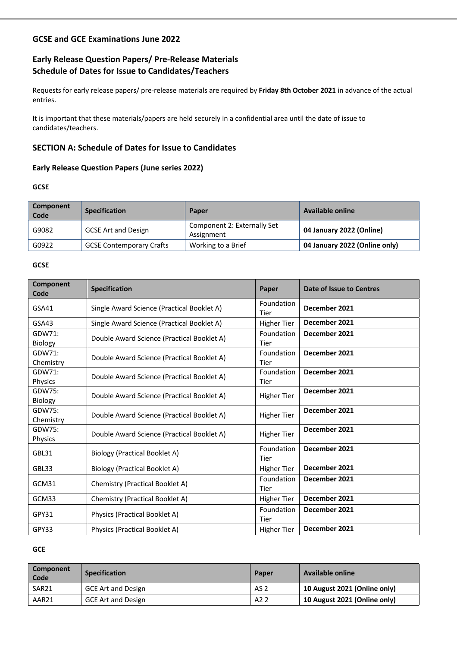# **GCSE and GCE Examinations June 2022**

# **Early Release Question Papers/ Pre-Release Materials Schedule of Dates for Issue to Candidates/Teachers**

Requests for early release papers/ pre-release materials are required by **Friday 8th October 2021** in advance of the actual entries.

It is important that these materials/papers are held securely in a confidential area until the date of issue to candidates/teachers.

# **SECTION A: Schedule of Dates for Issue to Candidates**

# **Early Release Question Papers (June series 2022)**

#### **GCSE**

| Component<br>Code | <b>Specification</b>            | Paper                                     | Available online              |
|-------------------|---------------------------------|-------------------------------------------|-------------------------------|
| G9082             | <b>GCSE Art and Design</b>      | Component 2: Externally Set<br>Assignment | 04 January 2022 (Online)      |
| G0922             | <b>GCSE Contemporary Crafts</b> | Working to a Brief                        | 04 January 2022 (Online only) |

### **GCSE**

| Component<br>Code        | <b>Specification</b>                       | Paper              | Date of Issue to Centres |
|--------------------------|--------------------------------------------|--------------------|--------------------------|
| GSA41                    | Single Award Science (Practical Booklet A) | Foundation<br>Tier | December 2021            |
| GSA43                    | Single Award Science (Practical Booklet A) | <b>Higher Tier</b> | December 2021            |
| GDW71:<br>Biology        | Double Award Science (Practical Booklet A) | Foundation<br>Tier | December 2021            |
| GDW71:<br>Chemistry      | Double Award Science (Practical Booklet A) | Foundation<br>Tier | December 2021            |
| GDW71:<br>Physics        | Double Award Science (Practical Booklet A) | Foundation<br>Tier | December 2021            |
| GDW75:<br><b>Biology</b> | Double Award Science (Practical Booklet A) | <b>Higher Tier</b> | December 2021            |
| GDW75:<br>Chemistry      | Double Award Science (Practical Booklet A) | <b>Higher Tier</b> | December 2021            |
| GDW75:<br>Physics        | Double Award Science (Practical Booklet A) | <b>Higher Tier</b> | December 2021            |
| GBL31                    | Biology (Practical Booklet A)              | Foundation<br>Tier | December 2021            |
| GBL33                    | <b>Biology (Practical Booklet A)</b>       | <b>Higher Tier</b> | December 2021            |
| GCM31                    | Chemistry (Practical Booklet A)            | Foundation<br>Tier | December 2021            |
| GCM33                    | Chemistry (Practical Booklet A)            | <b>Higher Tier</b> | December 2021            |
| GPY31                    | Physics (Practical Booklet A)              | Foundation<br>Tier | December 2021            |
| GPY33                    | Physics (Practical Booklet A)              | <b>Higher Tier</b> | December 2021            |

#### **GCE**

| Component<br>Code | <b>Specification</b>      | <b>Paper</b>     | <b>Available online</b>      |
|-------------------|---------------------------|------------------|------------------------------|
| SAR <sub>21</sub> | <b>GCE Art and Design</b> | AS 2             | 10 August 2021 (Online only) |
| AAR21             | <b>GCE Art and Design</b> | A <sub>2</sub> 2 | 10 August 2021 (Online only) |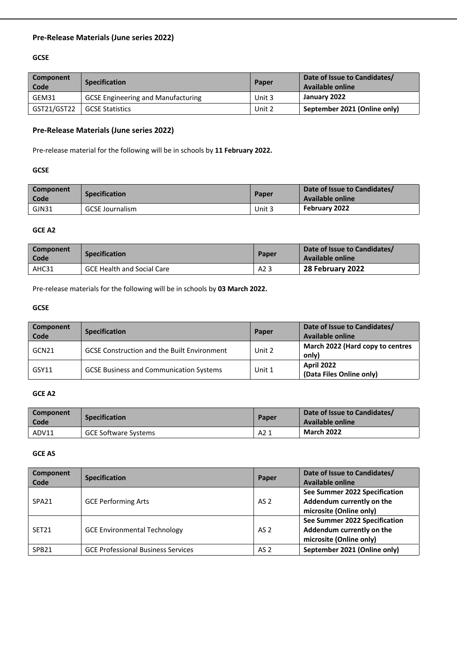# **Pre-Release Materials (June series 2022)**

# **GCSE**

| Component<br>Code | <b>Specification</b>                      | Paper  | Date of Issue to Candidates/<br><b>Available online</b> |
|-------------------|-------------------------------------------|--------|---------------------------------------------------------|
| GEM31             | <b>GCSE Engineering and Manufacturing</b> | Unit 3 | January 2022                                            |
| GST21/GST22       | <b>GCSE Statistics</b>                    | Unit 2 | September 2021 (Online only)                            |

# **Pre-Release Materials (June series 2022)**

Pre-release material for the following will be in schools by **11 February 2022.**

#### **GCSE**

| Component<br>Code | <b>Specification</b>   | Paper  | Date of Issue to Candidates/<br>Available online |
|-------------------|------------------------|--------|--------------------------------------------------|
| GJN31             | <b>GCSE Journalism</b> | Unit 3 | February 2022                                    |

#### **GCE A2**

| Component<br>Code | <b>Specification</b>              | Paper | Date of Issue to Candidates/<br>Available online |
|-------------------|-----------------------------------|-------|--------------------------------------------------|
| AHC31             | <b>GCE Health and Social Care</b> | A2 3  | 28 February 2022                                 |

Pre-release materials for the following will be in schools by **03 March 2022.**

# **GCSE**

| <b>Component</b><br>Code | <b>Specification</b>                               | Paper  | Date of Issue to Candidates/<br>Available online |
|--------------------------|----------------------------------------------------|--------|--------------------------------------------------|
| GCN21                    | <b>GCSE Construction and the Built Environment</b> | Unit 2 | March 2022 (Hard copy to centres<br>only)        |
| GSY11                    | <b>GCSE Business and Communication Systems</b>     | Unit 1 | <b>April 2022</b><br>(Data Files Online only)    |

# **GCE A2**

| Component<br>Code | <b>Specification</b>        | Paper | Date of Issue to Candidates/<br>Available online |
|-------------------|-----------------------------|-------|--------------------------------------------------|
| ADV11             | <b>GCE Software Systems</b> | A2 1  | <b>March 2022</b>                                |

#### **GCE AS**

| Component<br>Code | <b>Specification</b>                      | Paper           | Date of Issue to Candidates/<br><b>Available online</b>                               |
|-------------------|-------------------------------------------|-----------------|---------------------------------------------------------------------------------------|
| SPA <sub>21</sub> | <b>GCE Performing Arts</b>                | AS 2            | See Summer 2022 Specification<br>Addendum currently on the<br>microsite (Online only) |
| SET <sub>21</sub> | <b>GCE Environmental Technology</b>       | AS <sub>2</sub> | See Summer 2022 Specification<br>Addendum currently on the<br>microsite (Online only) |
| SPB <sub>21</sub> | <b>GCE Professional Business Services</b> | AS <sub>2</sub> | September 2021 (Online only)                                                          |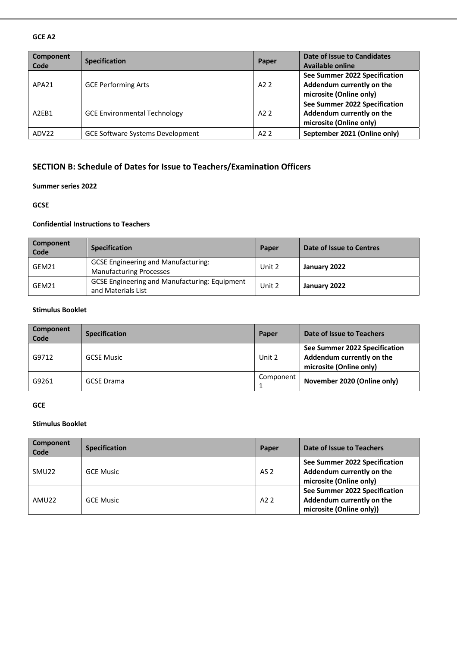#### **GCE A2**

| <b>Component</b><br>Code       | <b>Specification</b>                    | Paper            | Date of Issue to Candidates<br>Available online                                       |
|--------------------------------|-----------------------------------------|------------------|---------------------------------------------------------------------------------------|
| APA21                          | <b>GCE Performing Arts</b>              | A22              | See Summer 2022 Specification<br>Addendum currently on the<br>microsite (Online only) |
| A <sub>2</sub> F <sub>B1</sub> | <b>GCE Environmental Technology</b>     | A22              | See Summer 2022 Specification<br>Addendum currently on the<br>microsite (Online only) |
| ADV22                          | <b>GCE Software Systems Development</b> | A <sub>2</sub> 2 | September 2021 (Online only)                                                          |

# **SECTION B: Schedule of Dates for Issue to Teachers/Examination Officers**

#### **Summer series 2022**

#### **GCSE**

# **Confidential Instructions to Teachers**

| Component<br>Code | <b>Specification</b>                                                         | Paper  | Date of Issue to Centres |
|-------------------|------------------------------------------------------------------------------|--------|--------------------------|
| GEM21             | <b>GCSE Engineering and Manufacturing:</b><br><b>Manufacturing Processes</b> | Unit 2 | January 2022             |
| GEM21             | <b>GCSE Engineering and Manufacturing: Equipment</b><br>and Materials List   | Unit 2 | January 2022             |

# **Stimulus Booklet**

| Component<br>Code | <b>Specification</b> | Paper     | Date of Issue to Teachers                                                             |
|-------------------|----------------------|-----------|---------------------------------------------------------------------------------------|
| G9712             | <b>GCSE Music</b>    | Unit 2    | See Summer 2022 Specification<br>Addendum currently on the<br>microsite (Online only) |
| G9261             | <b>GCSE</b> Drama    | Component | November 2020 (Online only)                                                           |

### **GCE**

#### **Stimulus Booklet**

| Component<br>Code | <b>Specification</b> | Paper           | Date of Issue to Teachers                                                              |
|-------------------|----------------------|-----------------|----------------------------------------------------------------------------------------|
| SMU <sub>22</sub> | <b>GCE Music</b>     | AS <sub>2</sub> | See Summer 2022 Specification<br>Addendum currently on the<br>microsite (Online only)  |
| AMU22             | <b>GCE Music</b>     | A22             | See Summer 2022 Specification<br>Addendum currently on the<br>microsite (Online only)) |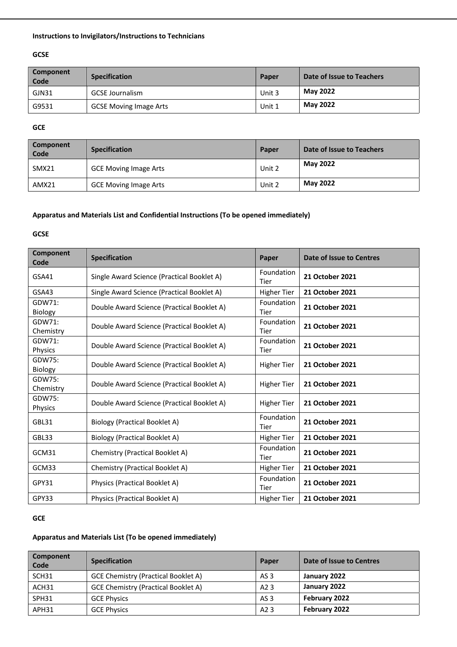# **Instructions to Invigilators/Instructions to Technicians**

# **GCSE**

| Component<br>Code | <b>Specification</b>          | Paper  | Date of Issue to Teachers |
|-------------------|-------------------------------|--------|---------------------------|
| GJN31             | <b>GCSE Journalism</b>        | Unit 3 | <b>May 2022</b>           |
| G9531             | <b>GCSE Moving Image Arts</b> | Unit 1 | <b>May 2022</b>           |

#### **GCE**

| <b>Component</b><br><b>Code</b> | <b>Specification</b>         | Paper  | Date of Issue to Teachers |
|---------------------------------|------------------------------|--------|---------------------------|
| SMX21                           | <b>GCE Moving Image Arts</b> | Unit 2 | <b>May 2022</b>           |
| AMX21                           | <b>GCE Moving Image Arts</b> | Unit 2 | <b>May 2022</b>           |

# **Apparatus and Materials List and Confidential Instructions (To be opened immediately)**

# **GCSE**

| <b>Component</b><br>Code | <b>Specification</b>                       | Paper              | Date of Issue to Centres |
|--------------------------|--------------------------------------------|--------------------|--------------------------|
| GSA41                    | Single Award Science (Practical Booklet A) | Foundation<br>Tier | <b>21 October 2021</b>   |
| GSA43                    | Single Award Science (Practical Booklet A) | <b>Higher Tier</b> | <b>21 October 2021</b>   |
| GDW71:<br>Biology        | Double Award Science (Practical Booklet A) | Foundation<br>Tier | <b>21 October 2021</b>   |
| GDW71:<br>Chemistry      | Double Award Science (Practical Booklet A) | Foundation<br>Tier | <b>21 October 2021</b>   |
| GDW71:<br>Physics        | Double Award Science (Practical Booklet A) | Foundation<br>Tier | 21 October 2021          |
| GDW75:<br>Biology        | Double Award Science (Practical Booklet A) | <b>Higher Tier</b> | 21 October 2021          |
| GDW75:<br>Chemistry      | Double Award Science (Practical Booklet A) | <b>Higher Tier</b> | <b>21 October 2021</b>   |
| GDW75:<br>Physics        | Double Award Science (Practical Booklet A) | <b>Higher Tier</b> | <b>21 October 2021</b>   |
| GBL31                    | Biology (Practical Booklet A)              | Foundation<br>Tier | 21 October 2021          |
| GBL33                    | <b>Biology (Practical Booklet A)</b>       | <b>Higher Tier</b> | 21 October 2021          |
| GCM31                    | Chemistry (Practical Booklet A)            | Foundation<br>Tier | <b>21 October 2021</b>   |
| GCM33                    | Chemistry (Practical Booklet A)            | <b>Higher Tier</b> | <b>21 October 2021</b>   |
| GPY31                    | Physics (Practical Booklet A)              | Foundation<br>Tier | <b>21 October 2021</b>   |
| GPY33                    | Physics (Practical Booklet A)              | <b>Higher Tier</b> | <b>21 October 2021</b>   |

# **GCE**

# **Apparatus and Materials List (To be opened immediately)**

| <b>Component</b><br><b>Code</b> | <b>Specification</b>                       | Paper            | Date of Issue to Centres |
|---------------------------------|--------------------------------------------|------------------|--------------------------|
| SCH <sub>31</sub>               | GCE Chemistry (Practical Booklet A)        | AS 3             | January 2022             |
| ACH31                           | <b>GCE Chemistry (Practical Booklet A)</b> | A <sub>2</sub> 3 | January 2022             |
| SPH31                           | <b>GCE Physics</b>                         | AS <sub>3</sub>  | February 2022            |
| APH31                           | <b>GCE Physics</b>                         | A2 3             | February 2022            |